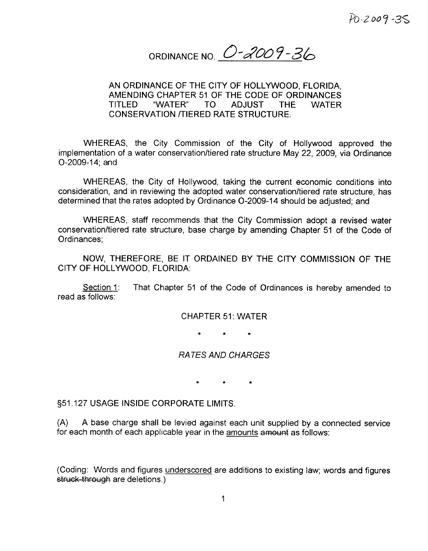PO-2009-35

ORDINANCE NO. 0-2009-36

## AN ORDINANCE OF THE CITY OF HOLLYWOOD, FLORIDA. AMENDING CHAPTER 51 OF THE CODE OF ORDINANCES TITLED "WATER" TO ADJUST THE WATER CONSERVATION TIERED RATE STRUCTURE

WHEREAS, the City Commission of the City of Hollywood approved the implementation of a water conservation/tiered rate structure May 22, 2009, via Ordinance  $O-2009-14$ ; and

WHEREAS, the City of Hollywood, taking the current economic conditions into consideration, and in reviewing the adopted water conservation/tiered rate structure, has determined that the rates adopted by Ordinance O-2009-14 should be adjusted; and

WHEREAS, staff recommends that the City Commission adopt a revised water conservation/tiered rate structure, base charge by amending Chapter 51 of the Code of Ordinances

NOW, THEREFORE, BE IT ORDAINED BY THE CITY COMMISSION OF THE CITY OF HOLLYWOOD. FLORIDA:

Section 1: That Chapter 51 of the Code of Ordinances is hereby amended to read as follows

#### **CHAPTER 51: WATER**

### RA TES AND CHARGES

951 127 USAGE INSIDE CORPORATE LIMITS

A A base charge shall be levied against each unit supplied by <sup>a</sup> connected service for each month of each applicable year in the amounts amount as follows:

(Coding: Words and figures underscored are additions to existing law; words and figures struck-through are deletions.)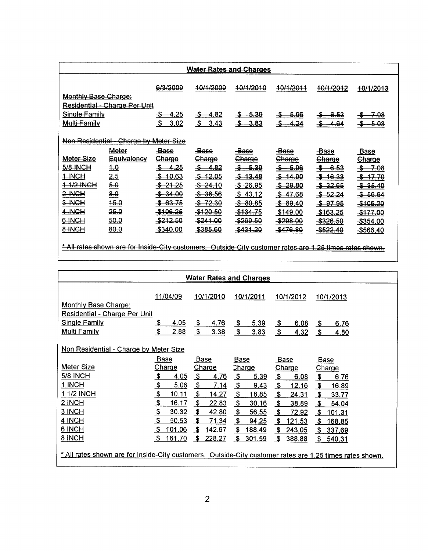| <b>Water Rates and Charges</b>                                                                   |                                                                                                          |                      |                      |                     |                    |                     |                      |  |  |  |
|--------------------------------------------------------------------------------------------------|----------------------------------------------------------------------------------------------------------|----------------------|----------------------|---------------------|--------------------|---------------------|----------------------|--|--|--|
| 6/3/2009<br>10/1/2009<br>40/1/2010<br>10/1/2011<br>4 <del>0/1/2012</del><br><del>10/1/2013</del> |                                                                                                          |                      |                      |                     |                    |                     |                      |  |  |  |
| <b>Monthly Base Charge:</b>                                                                      |                                                                                                          |                      |                      |                     |                    |                     |                      |  |  |  |
|                                                                                                  | <del>Residential - Charge Per Unit</del>                                                                 |                      |                      |                     |                    |                     |                      |  |  |  |
| Single Family                                                                                    |                                                                                                          | 4.25                 | 4.82                 | $-5-39$             | -5.96              | -6.53               | <del>7.</del> 08     |  |  |  |
| Multi-Family                                                                                     |                                                                                                          | -3.02                | <u>3.43</u>          | <u>-3.83</u>        | 4.24               | 4.64                | -5.03                |  |  |  |
|                                                                                                  |                                                                                                          |                      |                      |                     |                    |                     |                      |  |  |  |
|                                                                                                  | Non Residential - Charge by Meter Size                                                                   |                      |                      |                     |                    |                     |                      |  |  |  |
|                                                                                                  | Meter                                                                                                    | -Base                | <del>-Base</del>     | <b>Base</b>         | -Base              | -Base               | <b>Base</b>          |  |  |  |
| Meter Size                                                                                       | <b>Equivalency</b>                                                                                       | <b>Charge</b>        | Charge               | <b>Charge</b>       | <b>Charge</b>      | <b>Charge</b>       | Charge               |  |  |  |
| <b>5/8 INCH</b>                                                                                  | <u>4.0</u>                                                                                               | -\$-<br><u>–4.25</u> | $$-.4.82$            | $-5-39$             | <del>-\$6.96</del> | \$6.53              | <del>-SF 7.08</del>  |  |  |  |
| 1 HNGH                                                                                           | 2.5                                                                                                      | $-$ \$ 10.63         | $-12.05$             | \$13.48             | <u>-\$-14.90</u>   | $-16.33$            | <del>-\$-17.70</del> |  |  |  |
| 1-1/2-INGH                                                                                       | 6.0                                                                                                      | $-5 - 21.25$         | $-24.10$             | $-5 - 26.95$        | <del>\$29.80</del> | \$32.65             | <del>\$35.40</del>   |  |  |  |
| 2-INCH                                                                                           | 8.0                                                                                                      | \$34.00              | $-$ \$ 38.56         | $-$ \$ 43.12        | \$47.68            | $$-52.24$           | <del>\$56.64</del>   |  |  |  |
| 3-INCH                                                                                           | 45.0                                                                                                     | \$63.75              | $-5$ 72.30           | \$80.85             | \$80.40            | <del>\$ 97.95</del> | -\$106.20            |  |  |  |
| 4-INCH                                                                                           | 25.0                                                                                                     | -\$106.25            | <del>-\$120.50</del> | <del>\$134.75</del> | -\$149.00          | <del>\$163.25</del> | <del>\$177.00</del>  |  |  |  |
| 6-INCH                                                                                           | 50.0                                                                                                     | <del>-\$212.50</del> | <del>-\$241.00</del> | $-$ \$269.50        | -\$298.00          | $-$ \$326.50        | -\$354.00            |  |  |  |
| 8-INCH                                                                                           | 80.0                                                                                                     | -\$340.00            | \$385.60             | \$431.20            | -\$476.80          | -\$522.40           | -\$566.40            |  |  |  |
|                                                                                                  |                                                                                                          |                      |                      |                     |                    |                     |                      |  |  |  |
|                                                                                                  | * All rates shown are for Inside-City customers. Outside-City customer rates are 1.25 times rates shown. |                      |                      |                     |                    |                     |                      |  |  |  |

| <b>Water Rates and Charges</b>                                                                           |                         |                           |                           |                              |                           |  |  |  |
|----------------------------------------------------------------------------------------------------------|-------------------------|---------------------------|---------------------------|------------------------------|---------------------------|--|--|--|
|                                                                                                          | 11/04/09                | 10/1/2010                 | 10/1/2011                 | 10/1/2012                    | 10/1/2013                 |  |  |  |
| <b>Monthly Base Charge:</b>                                                                              |                         |                           |                           |                              |                           |  |  |  |
| <b>Residential - Charge Per Unit</b>                                                                     |                         |                           |                           |                              |                           |  |  |  |
| <b>Single Family</b>                                                                                     | \$                      | <u>\$</u>                 | 5.39                      | <u>\$</u>                    | <u>_\$</u>                |  |  |  |
|                                                                                                          | <u>4.05</u>             | <u>4.76</u>               | <u>\$</u>                 | 6.08                         | 6.76                      |  |  |  |
| <b>Multi Family</b>                                                                                      | \$                      | $\boldsymbol{\mathsf{s}}$ | \$                        | $\boldsymbol{\mathsf{s}}$    | \$                        |  |  |  |
|                                                                                                          | 2.88                    | 3.38                      | 3.83                      | 4.32                         | 4.80                      |  |  |  |
| Non Residential - Charge by Meter Size                                                                   |                         |                           |                           |                              |                           |  |  |  |
|                                                                                                          | <b>Base</b>             | <b>Base</b>               | <b>Base</b>               | <b>Base</b>                  | <b>Base</b>               |  |  |  |
| <b>Meter Size</b>                                                                                        | <b>Charge</b>           | Charge                    | <b>Charge</b>             | <b>Charge</b>                | Charge                    |  |  |  |
| <b>5/8 INCH</b>                                                                                          | $\frac{3}{2}$           | \$                        | $\mathbf{\$}$             | $\boldsymbol{\mathsf{s}}$    | $\sqrt{3}$                |  |  |  |
|                                                                                                          | 4.05                    | <u>4.76</u>               | <u>5.39</u>               | 6.08                         | 6.76                      |  |  |  |
| 1 INCH                                                                                                   | $\mathbf{\hat{z}}$      | \$                        | \$                        | $\mathbf{\$}$                | $\frac{3}{2}$             |  |  |  |
|                                                                                                          | 5.06                    | 7.14                      | 9.43                      | 12.16                        | <u> 16.89</u>             |  |  |  |
| 1 1/2 INCH                                                                                               | \$                      | \$                        | $\boldsymbol{\mathsf{S}}$ | $\boldsymbol{\hat{\theta}}$  | $\boldsymbol{\mathsf{S}}$ |  |  |  |
|                                                                                                          | 10.11                   | 14.27                     | 18.85                     | 24.31                        | 33.77                     |  |  |  |
| $2$ INCH                                                                                                 | $\mathbf{\mathfrak{L}}$ | \$                        | $\mathbf{\mathfrak{L}}$   | $\frac{3}{2}$                | $\boldsymbol{\mathsf{s}}$ |  |  |  |
|                                                                                                          | 16.17                   | 22.83                     | 30.16                     | 38.89                        | 54.04                     |  |  |  |
| 3 INCH                                                                                                   | $\frac{3}{2}$           | $\mathbf{s}$              | $\mathbf{\mathfrak{L}}$   | $\mathbf{S}$                 | $\boldsymbol{\mathsf{s}}$ |  |  |  |
|                                                                                                          | 30.32                   | 42.80                     | 56.55                     | 72.92                        | 101.31                    |  |  |  |
| 4 INCH                                                                                                   | \$                      | \$                        | $\mathbf{\$}$             | \$                           | \$                        |  |  |  |
|                                                                                                          | 50.53                   | <u>71.34</u>              | 94.25                     | <u>121.53</u>                | 168.85                    |  |  |  |
| 6 INCH                                                                                                   | \$<br>101.06            | \$<br>142.67              | $\frac{1}{2}$<br>188.49   | $\mathbf{\hat{S}}$<br>243.05 | \$ 337.69                 |  |  |  |
| 8 INCH                                                                                                   | Ŝ.                      | S.                        | $\mathbf{\$}$             | $\mathsf{\$}$                | \$                        |  |  |  |
|                                                                                                          | 161.70                  | 228.27                    | 301.59                    | 388.88                       | 540.31                    |  |  |  |
| * All rates shown are for Inside-City customers. Outside-City customer rates are 1.25 times rates shown. |                         |                           |                           |                              |                           |  |  |  |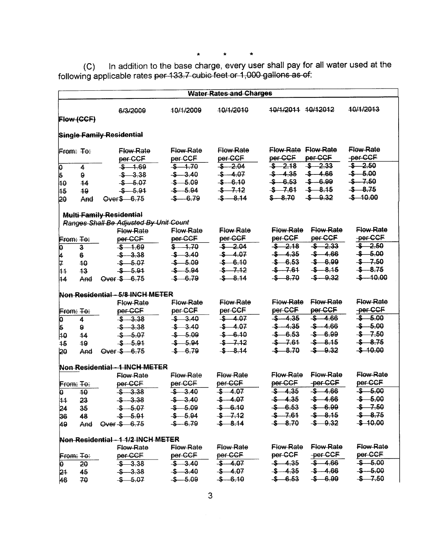#### $\hat{\mathbf{x}}$  $\star$  $\star$

C) In addition to the base charge, every user shall pay for all water used at the following applicable rates <del>per 133.7 cubic feet or 1,000 gallons as of</del>

|                                              |                                  |                                                                                                 |                                                                                            | <b>Water Rates and Charges</b>                                                               |                                                                                                                                                                                     |                                                                                                |  |  |  |
|----------------------------------------------|----------------------------------|-------------------------------------------------------------------------------------------------|--------------------------------------------------------------------------------------------|----------------------------------------------------------------------------------------------|-------------------------------------------------------------------------------------------------------------------------------------------------------------------------------------|------------------------------------------------------------------------------------------------|--|--|--|
|                                              | Flow (CCF)                       | 6/3/2009                                                                                        | 10/1/2009                                                                                  | 10/1/2010                                                                                    | 40/1/2011 10/12012                                                                                                                                                                  | 10/1/2013                                                                                      |  |  |  |
|                                              | <b>Single Family Residential</b> |                                                                                                 |                                                                                            |                                                                                              |                                                                                                                                                                                     |                                                                                                |  |  |  |
| <b>From: To:</b><br>ρ<br>5<br>40<br>45<br>20 | 4<br>9<br>14<br>49<br>And        | <b>Elow Rate</b><br>per-CCF<br>$$ -1.69$<br>$$ -3.38$<br>$$ -5.07$<br>$$ -5.91$<br>Over \$ 6.75 | <b>Flow Rate</b><br>per CCF<br>$$ -1.70$<br>$$ -3.40$<br>$$ -5.09$<br>$$ -5.94$<br>$-6.79$ | <b>Flow Rate</b><br>per CCF<br>$$ -2.04$<br>$$ -4.07$<br>$$ -6.10$<br>$$ -7.12$<br>$$ -8.14$ | <b>Elow Rate Flow Rate</b><br>per CCF<br>per CCF<br>$$ -2.33$<br>$$ -2.18$<br>$$ -4.66$<br>$$ -4.35$<br>$$ -6.99$<br>$$ -6.53$<br>$$ -8.15$<br>$$ -7.61$<br>$$ -0.32$<br>$$ - 8.70$ | <b>Flow Rate</b><br>-per-CCF<br>$$ -2.50$<br>$$ -5.00$<br>$$ -7.50$<br>$$ -8.75$<br>$$ -10.00$ |  |  |  |
|                                              |                                  | <b>Multi Family Residential</b>                                                                 |                                                                                            |                                                                                              |                                                                                                                                                                                     |                                                                                                |  |  |  |
|                                              |                                  | Ranges Shall Be Adjusted By Unit Count                                                          |                                                                                            |                                                                                              |                                                                                                                                                                                     |                                                                                                |  |  |  |
| <b>From: To:</b>                             |                                  | <b>Flow Rate</b><br>per CCF                                                                     | Flow Rate<br>per CCF                                                                       | Flow Rate<br>per-CCF                                                                         | <b>Flow Rate</b><br><b>Flow Rate</b><br>per-CCF<br>per CCF                                                                                                                          | <b>Flow Rate</b><br>-per-CCF                                                                   |  |  |  |
| p                                            | $\ddot{\bm{3}}$                  | $$ -1.69$                                                                                       | $$ -1.70$                                                                                  | $$ -2.04$                                                                                    | $$ -2.18$<br>$$ -2.33$                                                                                                                                                              | \$ 2.50                                                                                        |  |  |  |
|                                              | 6                                | $$ -3.38$                                                                                       | $$ -3.40$                                                                                  | \$4.07                                                                                       | $$ -4.66$<br>$$ -4.35$                                                                                                                                                              | $$ -5.00$                                                                                      |  |  |  |
| $\frac{4}{7}$                                | 40                               | $$ -5.07$                                                                                       | $$ -5.09$                                                                                  | $$ -6.10$                                                                                    | \$6.53<br>\$ 6.99                                                                                                                                                                   | $$ -7.50$                                                                                      |  |  |  |
| 44                                           | 43                               | \$ 5.91                                                                                         | $$ -5.94$                                                                                  | $$ -7.12$                                                                                    | $$ -7.61$<br>$$ -8.15$                                                                                                                                                              | $$ -8.75$                                                                                      |  |  |  |
| 44                                           | And                              | Over \$ 6.75                                                                                    | \$6.79                                                                                     | $$ -8.14$                                                                                    | $-5 - 0.32$<br>$$ -8.70$                                                                                                                                                            | $$ -10.00$                                                                                     |  |  |  |
|                                              |                                  | Non Residential - 5/8 INGH METER                                                                |                                                                                            |                                                                                              |                                                                                                                                                                                     |                                                                                                |  |  |  |
|                                              |                                  | <b>Elow Rate</b>                                                                                | <b>Elow Rate</b>                                                                           | <b>Elow Rate</b>                                                                             | <b>Elow Rate</b><br><b>Elow Rate</b>                                                                                                                                                | <b>Elow Rate</b>                                                                               |  |  |  |
| From: To:                                    |                                  | per CCF                                                                                         | per-CCF                                                                                    | per CCF                                                                                      | per CCF<br>per-CCF                                                                                                                                                                  | -per-CCF                                                                                       |  |  |  |
| o                                            | 4                                | $$ -3.38$                                                                                       | \$3,40                                                                                     | \$ 4.07                                                                                      | $$ -4.35$<br>$$ -4.66$                                                                                                                                                              | $$ -5.00$                                                                                      |  |  |  |
| 5                                            | $\mathbf{g}$                     | $$ -3.38$                                                                                       | \$3,40                                                                                     | $$ -4.07$                                                                                    | $$ -4.66$<br>$$ -4.35$                                                                                                                                                              | $$ -5.00$                                                                                      |  |  |  |
| 40                                           | 44                               | $$ -5.07$                                                                                       | $$ -5.09$                                                                                  | $$ -6.10$                                                                                    | \$6.99<br>$$-6.53$                                                                                                                                                                  | $$ -7.50$                                                                                      |  |  |  |
| 45                                           | 49                               | \$ 5.91                                                                                         | $$ -5.94$                                                                                  | $$ -7.12$                                                                                    | \$8.15<br>$$ -7.61$                                                                                                                                                                 | $$ -8.75$                                                                                      |  |  |  |
| 20                                           | And                              | Over \$ 6.75                                                                                    | \$ 6.79                                                                                    | $$ -8.14$                                                                                    | $$ -0.32$<br>$$ -8.70$                                                                                                                                                              | $$ -10.00$                                                                                     |  |  |  |
|                                              |                                  | Non Residential - 1 INCH METER                                                                  |                                                                                            |                                                                                              |                                                                                                                                                                                     |                                                                                                |  |  |  |
|                                              |                                  | <b>Flow Rate</b>                                                                                | <b>Flow Rate</b>                                                                           | <b>Flow Rate</b>                                                                             | Flow-Rate<br>Flow Rate                                                                                                                                                              | Flow Rate                                                                                      |  |  |  |
| <b>From: To:</b>                             |                                  | per CCF                                                                                         | per CCF                                                                                    | per-CCF                                                                                      | per-CCF<br>-per-CCF                                                                                                                                                                 | per CCF                                                                                        |  |  |  |
| o                                            | 40                               | \$3.38                                                                                          | \$3.40                                                                                     | \$ 4.07                                                                                      | \$4.35<br>$-5 - 4.66$                                                                                                                                                               | $-5 - 5.00$                                                                                    |  |  |  |
| $ 11\rangle$                                 | 23                               | $$ -3.38$                                                                                       | $$ -3.40$                                                                                  | $$ -4.07$                                                                                    | \$4.35<br>\$ 4.66                                                                                                                                                                   | $\frac{1}{2}$ 5.00                                                                             |  |  |  |
| 24                                           | 35                               | $$ -5.07$                                                                                       | $$-5.09$                                                                                   | $\frac{1}{2}$ 6.10                                                                           | $$-6.53$ $$-6.99$                                                                                                                                                                   | $$ -7.50$                                                                                      |  |  |  |
| 36                                           | 48                               | $$ -5.91$                                                                                       | $$ -5.94$                                                                                  | $$ -7.12$                                                                                    | $$ -7.61$<br>$$-8.15$                                                                                                                                                               | $$ -8.75$                                                                                      |  |  |  |
| 49.                                          |                                  | And Over \$ 6.75                                                                                | $$-6.79$                                                                                   | $$-8.14$                                                                                     | $$ -8.70$<br>$-$ \$ $-$ 0.32                                                                                                                                                        | \$40.00                                                                                        |  |  |  |
|                                              |                                  | Non Residential - 1 1/2 INCH METER                                                              |                                                                                            |                                                                                              |                                                                                                                                                                                     |                                                                                                |  |  |  |
|                                              |                                  | <b>Flow Rate</b>                                                                                | <b>Flow Rate</b>                                                                           | Flow Rate                                                                                    | <b>Flow Rate</b><br><del>Flow Rate</del>                                                                                                                                            | <b>Flow Rate</b>                                                                               |  |  |  |
| From: $F_{\theta}$ :                         |                                  | per CCF per CCF                                                                                 |                                                                                            | per-CCF                                                                                      | per CCF<br>per-CCF                                                                                                                                                                  | per CCF                                                                                        |  |  |  |
| þ                                            | 20                               | $$ -3.38$                                                                                       | $\frac{1}{2}$ 3.40                                                                         | $$ -4.07$                                                                                    | $$ -4.35$<br>$$ -4.66$                                                                                                                                                              | $$ -5.00$                                                                                      |  |  |  |
| 24                                           | 45                               | $$ -3.38$                                                                                       | $$ -3.40$                                                                                  | $$ -4.07$                                                                                    | $$ -4.35$<br>$$ -4.66$                                                                                                                                                              | $$ -5.00$                                                                                      |  |  |  |
| 46                                           | 70                               | \$ 5.07                                                                                         | $$ -5.09$                                                                                  | $$ -6.10$                                                                                    | \$6.99<br>\$6.53                                                                                                                                                                    | $$ -7.50$                                                                                      |  |  |  |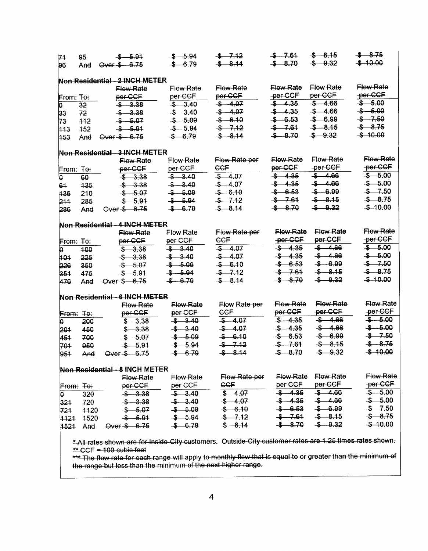| 74                   | 95               | $$ -5.91$                                                                                                | $$ -5.94$        | $-5 - 7.12$      | $$ -7.61$        | $$ -8.15$        | $-8.75$          |
|----------------------|------------------|----------------------------------------------------------------------------------------------------------|------------------|------------------|------------------|------------------|------------------|
| 96                   | And              | Over \$ 6.75                                                                                             | $$ -6.79$        | $$ -8.14$        | $$ -8.70$        | $$ -0.32$        | $$ -10.00$       |
|                      |                  | Non Residential - 2 INCH METER                                                                           |                  |                  |                  |                  |                  |
|                      |                  | Flow Rate                                                                                                | <b>Elow Rate</b> | <b>Flow Rate</b> | <b>Flow Rate</b> | <b>Elow Rate</b> | <b>Flow Rate</b> |
| <b>From: To:</b>     |                  | per-CCF                                                                                                  | per CCF          | per CCF          | -per-CCF         | per CCF          | -per-CCF         |
| þ                    | 32               | \$3.38                                                                                                   | \$3,40           | $-4.07$          | $-5 - 4.35$      | \$ 4.66          | $$ -5.00$        |
| 33                   | 72               | $$ -3.38$                                                                                                | $$ -3.40$        | $$ -4.07$        | $$ -4.35$        | $-5 - 4.66$      | $$ -5.00$        |
| 73                   | 412              | $$ -5.07$                                                                                                | $$ -5.09$        | $$ -6.10$        | $$ -6.53$        | $$ -6.99$        | $$ -7.50$        |
| 443                  | 452              | $$ -5.91$                                                                                                | $$ -5.94$        | $$ -7.12$        | $-5 - 7.61$      | $$ -8.15$        | $$ -8.75$        |
| 453                  | And              | Over \$ - 6.75                                                                                           | $$ -6.79$        | $$ -8.14$        | $$ -8.70$        | $$ -0.32$        | $$ -10.00$       |
|                      |                  | Non Residential - 3 INCH METER                                                                           |                  |                  |                  |                  |                  |
|                      |                  | Flow Rate                                                                                                | <b>Flow Rate</b> | Flow Rate per    | Flow Rate        | <b>Flow Rate</b> | <b>Flow Rate</b> |
| From: <del>To:</del> |                  | per-CCF                                                                                                  | per CCF          | <b>CCF</b>       | per CCF          | -per-CCF         | -per-CCF         |
| ρ                    | 60               | \$3,38                                                                                                   | \$3,40           | $$ -4.07$        | \$4.35           | $$ -4.66$        | $-5 - 5.00$      |
| 61                   | 435              | \$3.38                                                                                                   | $$ -3.40$        | $$-.4.07$        | $$ -4.35$        | $$ -4.66$        | $$ -5.00$        |
| 136                  | 210              | $$ -5.07$                                                                                                | $$ -5.09$        | \$6.10           | $$-6.53$         | $$ -6.99$        | $$ -7.50$        |
| 211                  | 285              | \$ 5.91                                                                                                  | \$ 5.94          | \$7.12           | $$ -7.61$        | $$ -8.15$        | $$ -8.75$        |
| 286                  | And              | Over \$ 6.75                                                                                             | $$ -6.79$        | $$ -8.14$        | \$8.70           | $$ -0.32$        | $$ -10.00$       |
|                      |                  | Non Residential - 4 INCH METER                                                                           |                  |                  |                  |                  |                  |
|                      |                  | <b>Flow Rate</b>                                                                                         | Flow Rate        | Flow Rate per    | <b>Flow Rate</b> | <b>Flow Rate</b> | <b>Flow Rate</b> |
| From: To:            |                  | per-CCF                                                                                                  | per CCF          | CCF              | -per-CCF         | per-CCF          | -per-CCF         |
| o                    | 400              | $$ -3.38$                                                                                                | \$3.40           | \$4.07           | $$ -4.35$        | $$ -4.66$        | $$ -5.00$        |
| 101                  | 225              | $$ -3.38$                                                                                                | \$3.40           | $$ -4.07$        | \$4.35           | $$ -4.66$        | $$ -5.00$        |
| 226                  | 350              | $$ -5.07$                                                                                                | $$ -5.09$        | $$ -6.10$        | $-6.53$          | $$ -6.99$        | $$ -7.50$        |
| 351                  | 475              | $$ -5.91$                                                                                                | $$ -5.94$        | $$ -7.12$        | $$ -7.61$        | $$ -8.15$        | $$ -8.75$        |
| 476                  | And              | Over \$ 6.75                                                                                             | $$-6.79$         | $$ -8.14$        | $$ -8.70$        | $$ -0.32$        | $$ -10.00$       |
|                      |                  | Non Residential - 6 INCH METER                                                                           |                  |                  |                  |                  |                  |
|                      |                  | <b>Flow Rate</b>                                                                                         | Flow Rate        | Flow Rate per    | <b>Elow Rate</b> | <b>Elow Rate</b> | <b>Elow Rate</b> |
|                      | <b>From: To:</b> | per-CCF                                                                                                  | per CCF          | CCE              | per CCF          | per CCF          | -per-CCF         |
| o                    | 200              | \$3.38                                                                                                   | \$3.40           | $$ -4.07$        | $$ -4.35$        | $$ -4.66$        | $$ -5.00$        |
| 201                  | 450              | $$ -3.38$                                                                                                | $-5 - 3.40$      | $$ -4.07$        | $$ -4.35$        | $-5 - 4.66$      | $$ -5.00$        |
| 451                  | 700              | $$ -5.07$                                                                                                | $$ -5.09$        | $$ -6.10$        | $$-6.53$         | $$ -6.99$        | $$ -7.50$        |
| 704                  | 950              | \$ 5.91                                                                                                  | $$ -5.94$        | $$ -7.12$        | $$ -7.61$        | $$ -8.15$        | $$ -8.75$        |
| 951                  | And              | Over \$ 6.75                                                                                             | $$-6.79$         | $$ -8.14$        | $-8 - 8.70$      | $$ -0.32$        | $$ -10.00$       |
|                      |                  | Non Residential - 8 INCH METER                                                                           |                  |                  |                  |                  |                  |
|                      |                  | <b>Elow Rate</b>                                                                                         | <b>Flow Rate</b> | Flow Rate per    | Flow Rate        | Flow Rate        | <b>Flow Rate</b> |
|                      | From: To:        | per-CCF                                                                                                  | per CCF          | <b>CCF</b>       | per-CCF          | per CCF          | -per-CCF         |
| p                    | 320              | $$ -3.38$                                                                                                | \$3.40           | $$ -4.07$        | $$ -4.35$        | $-5 - 4.66$      | $-5.00$          |
| 321                  | 720              | $$ -3.38$                                                                                                | \$3.40           | $$ -4.07$        | $$ -4.35$        | $-5 - 4.66$      | $$ -5.00$        |
| 721                  | 4420             | $$ -5.07$                                                                                                | \$ 5.09          | \$6.10           | $$ -6.53$        | \$6.99           | $$ -7.50$        |
|                      | 1121 1520        | \$ 5.91                                                                                                  | $$ -5.94$        | $$ -7.12$        | $$ -7.61$        | $$ -8.15$        | $$ -8.75$        |
| 1521                 | And              | Over \$ 6.75                                                                                             | $$ -6.79$        | $$ -8.14$        | $-$ \$ $-$ 8.70  | $$ -0.32$        | \$40.00          |
|                      |                  | * All rates shown are for Inside-City customers. Outside-City customer rates are 1.25 times rates shown. |                  |                  |                  |                  |                  |
|                      |                  | $*$ CCE = 100 cubic feet                                                                                 |                  |                  |                  |                  |                  |

CCF = 100 cubic feet<br>The flow rate for each range will apply to monthly flow that is equal to or greater than the minimum of the range but loss than the minimum of the next higher range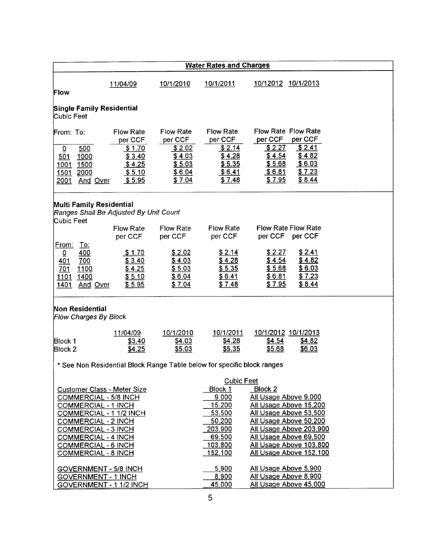|                                                      |                                                                                                                                                                                                                  |                                                                               |                                                                               | <b>Water Rates and Charges</b>                                                                                 |                                                                                                                                                                                                |                                                           |  |
|------------------------------------------------------|------------------------------------------------------------------------------------------------------------------------------------------------------------------------------------------------------------------|-------------------------------------------------------------------------------|-------------------------------------------------------------------------------|----------------------------------------------------------------------------------------------------------------|------------------------------------------------------------------------------------------------------------------------------------------------------------------------------------------------|-----------------------------------------------------------|--|
| Flow                                                 |                                                                                                                                                                                                                  | 11/04/09                                                                      | 10/1/2010                                                                     | 10/1/2011                                                                                                      | 10/12012 10/1/2013                                                                                                                                                                             |                                                           |  |
| Cubic Feet                                           | <b>Single Family Residential</b>                                                                                                                                                                                 |                                                                               |                                                                               |                                                                                                                |                                                                                                                                                                                                |                                                           |  |
| From: To:<br>$\overline{0}$<br>501<br>1001<br>2001   | 500<br>1000<br>1500<br>1501 2000<br>And Over                                                                                                                                                                     | <b>Flow Rate</b><br>per CCF<br>\$1.70<br>\$3.40<br>\$4.25<br>\$5.10<br>\$5.95 | <b>Flow Rate</b><br>per CCF<br>\$2.02<br>\$4.03<br>\$5.03<br>\$6.04<br>\$7.04 | <b>Flow Rate</b><br>per CCF<br>\$2.14<br>\$4.28<br>\$5.35<br>\$6.41<br>\$7.48                                  | <b>Flow Rate Flow Rate</b><br>per CCF<br>\$2.27<br>\$4.54<br>\$5.68<br>\$6.81<br>\$7.95                                                                                                        | per CCF<br>\$2.41<br>\$4.82<br>\$6.03<br>\$7.23<br>\$8.44 |  |
| Cubic Feet                                           | <b>Multi Family Residential</b>                                                                                                                                                                                  | Ranges Shall Be Adjusted By Unit Count                                        |                                                                               |                                                                                                                |                                                                                                                                                                                                |                                                           |  |
|                                                      |                                                                                                                                                                                                                  | <b>Flow Rate</b><br>per CCF                                                   | Flow Rate<br>per CCF                                                          | <b>Flow Rate</b><br>per CCF                                                                                    | <b>Flow Rate Flow Rate</b><br>per CCF per CCF                                                                                                                                                  |                                                           |  |
| From:<br>$\overline{0}$<br><u>401</u><br>701<br>1401 | <u>To:</u><br>400<br>700<br>1100<br>1101 1400<br>And Over                                                                                                                                                        | \$1.70<br>\$3.40<br>\$4.25<br>\$5.10<br>\$5.95                                | \$2.02<br>\$4.03<br>\$5.03<br>\$6.04<br>\$7.04                                | \$2.14<br>\$4.28<br>\$5.35<br>\$6.41<br>\$7.48                                                                 | \$2.27<br>\$4.54<br>\$5.68<br>\$6.81<br>\$7.95                                                                                                                                                 | \$2.41<br>\$4.82<br>\$6.03<br>\$7.23<br>\$8.44            |  |
|                                                      | Non Residential<br><b>Flow Charges By Block</b>                                                                                                                                                                  |                                                                               |                                                                               |                                                                                                                |                                                                                                                                                                                                |                                                           |  |
| Block 1<br>Block 2                                   |                                                                                                                                                                                                                  | 11/04/09<br>\$3.40<br>\$4.25                                                  | 10/1/2010<br>\$4.03<br>\$5.03                                                 | 10/1/2011<br>\$4.28<br>\$5.35                                                                                  | 10/1/2012 10/1/2013<br>\$4.54<br>\$5.68                                                                                                                                                        | \$4.82<br><u>\$6.03</u>                                   |  |
|                                                      |                                                                                                                                                                                                                  |                                                                               |                                                                               | * See Non Residential Block Range Table below for specific block ranges                                        |                                                                                                                                                                                                |                                                           |  |
|                                                      | <b>COMMERCIAL - 5/8 INCH</b><br><b>COMMERCIAL - 1 INCH</b><br><b>COMMERCIAL - 2 INCH</b><br><b>COMMERCIAL - 3 INCH</b><br><b>COMMERCIAL - 4 INCH</b><br><b>COMMERCIAL - 6 INCH</b><br><b>COMMERCIAL - 8 INCH</b> | <b>Customer Class - Meter Size</b><br>COMMERCIAL - 1 1/2 INCH                 |                                                                               | <b>Cubic Feet</b><br>Block 1<br>9,000<br>15,200<br>53,500<br>50,200<br>203,900<br>69,500<br>103,800<br>152,100 | Block 2<br>All Usage Above 9,000<br>All Usage Above 15,200<br>All Usage Above 53,500<br>All Usage Above 50,200<br>All Usage Above 69,500<br>All Usage Above 103,800<br>All Usage Above 152,100 | All Usage Above 203,900                                   |  |
|                                                      | <b>GOVERNMENT - 1 INCH</b>                                                                                                                                                                                       | GOVERNMENT - 5/8 INCH<br>GOVERNMENT - 1 1/2 INCH                              |                                                                               | 5,900<br>8,900<br>45,000                                                                                       | All Usage Above 5,900<br>All Usage Above 8,900<br>All Usage Above 45,000                                                                                                                       |                                                           |  |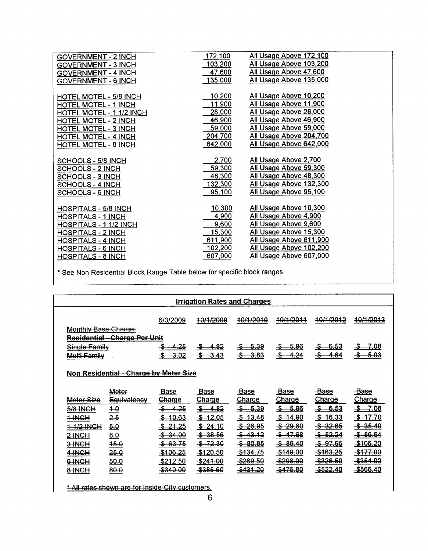| <b>GOVERNMENT - 2 INCH</b>    | 172,100 | All Usage Above 172,100 |
|-------------------------------|---------|-------------------------|
| <b>GOVERNMENT - 3 INCH</b>    | 103,200 | All Usage Above 103,200 |
| <b>GOVERNMENT - 4 INCH</b>    | 47,600  | All Usage Above 47,600  |
| GOVERNMENT - 6 INCH           | 135,000 | All Usage Above 135,000 |
|                               |         |                         |
| <b>HOTEL MOTEL - 5/8 INCH</b> | 10,200  | All Usage Above 10,200  |
| <b>HOTEL MOTEL - 1 INCH</b>   | 11,900  | All Usage Above 11,900  |
| HOTEL MOTEL - 1 1/2 INCH      | 28,000  | All Usage Above 28,000  |
| <b>HOTEL MOTEL - 2 INCH</b>   | 46,900  | All Usage Above 46,900  |
| <b>HOTEL MOTEL - 3 INCH</b>   | 59,000  | All Usage Above 59,000  |
| <b>HOTEL MOTEL - 4 INCH</b>   | 204,700 | All Usage Above 204,700 |
| <b>HOTEL MOTEL - 8 INCH</b>   | 642,000 | All Usage Above 642,000 |
|                               |         |                         |
| SCHOOLS - 5/8 INCH            | 2,700   | All Usage Above 2,700   |
| SCHOOLS - 2 INCH              | 59,300  | All Usage Above 59,300  |
| <b>SCHOOLS - 3 INCH</b>       | 48,300  | All Usage Above 48,300  |
| <b>SCHOOLS - 4 INCH</b>       | 132,300 | All Usage Above 132,300 |
| SCHOOLS - 6 INCH              | 95,100  | All Usage Above 95,100  |
|                               |         |                         |
| <b>HOSPITALS - 5/8 INCH</b>   | 10,300  | All Usage Above 10,300  |
| <b>HOSPITALS - 1 INCH</b>     | 4,900   | All Usage Above 4,900   |
| HOSPITALS - 1 1/2 INCH        | 9,600   | All Usage Above 9,600   |
| <b>HOSPITALS - 2 INCH</b>     | 15,300  | All Usage Above 15,300  |
| <b>HOSPITALS - 4 INCH</b>     | 611,900 | All Usage Above 611,900 |
| HOSPITALS - 6 INCH            | 102,200 | All Usage Above 102,200 |
| <b>HOSPITALS - 8 INCH</b>     | 607,000 | All Usage Above 607,000 |
|                               |         |                         |

See Non Residential Block Range Table below for specific block ranges

| <b>Irrigation Rates and Charges</b>    |                                      |                              |                               |                              |                        |                              |                      |  |
|----------------------------------------|--------------------------------------|------------------------------|-------------------------------|------------------------------|------------------------|------------------------------|----------------------|--|
|                                        |                                      | 6/3/2009                     | 40/1/2009                     | 40/1/2010                    | 10/1/2011              | 10/1/2012                    | <del>10/1/2013</del> |  |
| <b>Monthly Base Charge.</b>            |                                      |                              |                               |                              |                        |                              |                      |  |
|                                        | <b>Residential - Charge Per Unit</b> |                              |                               |                              |                        |                              |                      |  |
| Single Family                          |                                      | 4.25<br>-\$                  | 4.82<br>-5-                   | 5.39                         | -5.96<br>$\frac{2}{2}$ | -6.53                        | 7.08                 |  |
| Multi-Family                           |                                      | <del>3.02</del>              | $-3.43$<br>$\clubsuit$        | 3.83                         | 4.24<br>-\$            | 4.64<br>-S                   | 5.03                 |  |
|                                        |                                      |                              |                               |                              |                        |                              |                      |  |
| Non Residential - Charge by Meter Size |                                      |                              |                               |                              |                        |                              |                      |  |
|                                        |                                      |                              |                               |                              |                        |                              |                      |  |
|                                        |                                      |                              |                               |                              |                        |                              |                      |  |
|                                        | Meter                                |                              |                               |                              |                        |                              | -Base                |  |
| Meter-Size                             | <b>Equivalency</b>                   | <b>Base</b><br><b>Charge</b> | Base                          | <b>Base</b><br><b>Charge</b> | Base<br><b>Charge</b>  | <b>Base</b><br><b>Charge</b> | <u>Charge</u>        |  |
| 5/8 INCH                               | 4.0                                  | <u>4.25</u><br>-\$-          | Charge<br>-\$-<br><u>4.82</u> | $-5.39$<br>-\$–              | -\$⊢<br>5.96           | -\$—<br>-6.53                | -7.08<br>-\$–        |  |
| 1 INCH                                 |                                      | <del>10.63</del><br>-\$-     | $$-12.05$                     | \$43.48                      | $$ -14.90$             | $$-16.33$                    | \$17.70              |  |
| 1-1/2 INCH                             | 2.5                                  | $$ -21.25$                   | \$24.10                       | $-$ \$ 26.95                 | $$ -29.80$             | \$32.65                      | \$35.40              |  |
| <b>2-INCH</b>                          | 5.0                                  | $-$ \$ 34.00                 | \$38.56                       | \$43.12                      | $-5 - 47.68$           | <del>\$52.24</del>           | <del>\$56.64</del>   |  |
| 3-INCH                                 | 8.0<br>45.0                          | \$63.75                      | \$72.30                       | \$80.85                      | \$89.40                | <del>\$ 97.95</del>          | <del>-\$106.20</del> |  |
| 4-INCH                                 | 25.0                                 | \$106.25                     | <del>\$120.50</del>           | <del>\$134.75</del>          | \$149.00               | \$163.25                     | \$177.00             |  |
| 6-INCH                                 | 50.0                                 | <del>-\$212.50</del>         | $-$ \$241.00                  | \$269.50                     | \$298.00               | -\$326.50                    | -\$354.00            |  |

\* All rates shown are for Inside-City customers.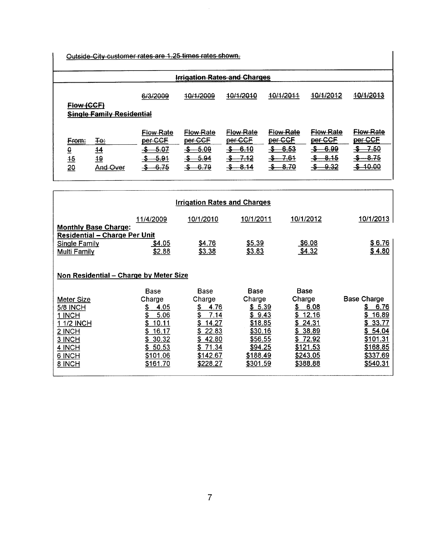Outside City customer rates are 1.25 times rates shown.

| <u> Irrigation Rates and Charges</u> |                                  |                             |                             |                             |                             |                      |                                 |  |
|--------------------------------------|----------------------------------|-----------------------------|-----------------------------|-----------------------------|-----------------------------|----------------------|---------------------------------|--|
| Flow (CCF)                           |                                  | 6/3/2009                    | 10/1/2009                   | 10/1/2010                   | 10/1/2011                   | 10/1/2012            | 10/1/2013                       |  |
|                                      | <b>Single Family Residential</b> |                             |                             |                             |                             |                      |                                 |  |
| <del>From:</del>                     | ∓e÷                              | <b>Flow Rate</b><br>per-CCF | <b>Flow Rate</b><br>per-CCF | <b>Flow Rate</b><br>per CCF | <b>Flow Rate</b><br>per CCF | Flow Rate<br>per-CCF | <del>Flow Rate</del><br>per CCF |  |
| $\overline{\mathbf{e}}$              | $\overline{14}$                  | -5.07<br>-5                 | $$-.69$                     | -6.10<br>-\$                | 6.53                        | <del>6.00 -</del>    | $-7.50$<br>$-\frac{\pi}{2}$     |  |
| $\frac{45}{10}$                      | $\frac{19}{10}$                  | -5.91                       | -- 5.94                     | <u>-7.12</u><br>-\$         | $-7.61$<br>-5-              | -8.15<br>-56         | $-8.75$                         |  |
| $\frac{20}{3}$                       | And Over                         | $-6.75$<br>-\$              | $$ -6.79$                   | -8.14<br>-->                | $-8.70$<br>-S-              | -9.32<br>-\$⊢        | \$40.00                         |  |

| <b>Irrigation Rates and Charges</b>                                                                         |                         |                          |                           |                         |                             |  |  |  |  |
|-------------------------------------------------------------------------------------------------------------|-------------------------|--------------------------|---------------------------|-------------------------|-----------------------------|--|--|--|--|
|                                                                                                             | 11/4/2009               | 10/1/2010                | 10/1/2011                 | 10/1/2012               | <u>10/1/2013</u>            |  |  |  |  |
| <b>Monthly Base Charge:</b><br><b>Residential - Charge Per Unit</b><br><b>Single Family</b><br>Multi Family | <u>\$4.05</u><br>\$2.88 | \$4.76<br>\$3.38         | \$5.39<br>\$3.83          | <u>\$6.08</u><br>\$4.32 | <u>\$6.76</u><br>\$4.80     |  |  |  |  |
| Non Residential – Charge by Meter Size                                                                      |                         |                          |                           |                         |                             |  |  |  |  |
|                                                                                                             | <b>Base</b>             | Base                     | Base                      | <b>Base</b>             |                             |  |  |  |  |
| Meter Size                                                                                                  | Charge                  | Charge                   | Charge                    | Charge                  | <b>Base Charge</b>          |  |  |  |  |
| <b>5/8 INCH</b>                                                                                             | \$<br>4.05              | \$<br>4.76               | \$5.39                    | S.<br>6.08              | \$<br>6.76                  |  |  |  |  |
| 1 INCH                                                                                                      | 5.06                    | \$<br>7.14               | \$9.43                    | 12.16<br>\$.            | 16.89<br>S                  |  |  |  |  |
| 1 1/2 INCH                                                                                                  | 10.11                   | \$<br>14.27              | \$18.85                   | 24.31<br>\$             | 33.77<br>S.                 |  |  |  |  |
| 2 INCH                                                                                                      | 16.17                   | 22.83                    | \$30.16                   | 38.89<br>S.             | \$54.04                     |  |  |  |  |
| 3 INCH<br>4 INCH                                                                                            | 30.32<br>S.<br>\$50.53  | 42.80<br>S<br>S<br>71.34 | <u>\$56.55</u><br>\$94.25 | \$72.92<br>\$121.53     | <u>\$101.31</u><br>\$168.85 |  |  |  |  |
| 6 INCH                                                                                                      | \$101.06                | \$142.67                 | \$188.49                  | \$243.05                | \$337.69                    |  |  |  |  |
| 8 INCH                                                                                                      | \$161.70                | \$228.27                 | \$301.59                  | \$388.88                | \$540.31                    |  |  |  |  |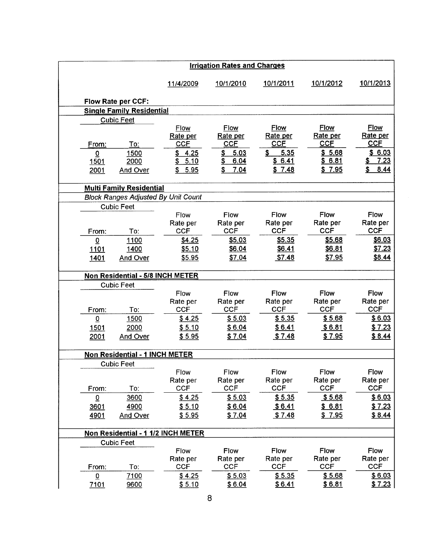| <b>Irrigation Rates and Charges</b> |                                       |                                            |                                       |                                       |                                       |                                       |
|-------------------------------------|---------------------------------------|--------------------------------------------|---------------------------------------|---------------------------------------|---------------------------------------|---------------------------------------|
|                                     |                                       | 11/4/2009                                  | 10/1/2010                             | 10/1/2011                             | 10/1/2012                             | 10/1/2013                             |
|                                     | <b>Flow Rate per CCF:</b>             |                                            |                                       |                                       |                                       |                                       |
|                                     | <b>Single Family Residential</b>      |                                            |                                       |                                       |                                       |                                       |
|                                     | <b>Cubic Feet</b>                     |                                            |                                       |                                       |                                       |                                       |
| From:                               | To:                                   | Flow<br>Rate per<br><b>CCF</b>             | <b>Flow</b><br>Rate per<br><b>CCF</b> | <b>Flow</b><br>Rate per<br><b>CCF</b> | <b>Flow</b><br>Rate per<br><b>CCF</b> | <b>Flow</b><br>Rate per<br><b>CCF</b> |
| $\Omega$                            | 1500                                  | \$4.25                                     | 5.03<br>$\frac{3}{2}$                 | 5.35<br>\$                            | \$5.68                                | \$6.03                                |
| <b>1501</b>                         | 2000                                  | 5.10<br>\$                                 | 6.04<br>\$                            | \$6.41                                | \$6.81                                | 7.23<br>\$                            |
| 2001                                | <b>And Over</b>                       | \$5.95                                     | 7.04<br>\$                            | \$7.48                                | \$7.95                                | \$<br>8.44                            |
|                                     |                                       |                                            |                                       |                                       |                                       |                                       |
|                                     | <b>Multi Family Residential</b>       |                                            |                                       |                                       |                                       |                                       |
|                                     |                                       | <b>Block Ranges Adjusted By Unit Count</b> |                                       |                                       |                                       |                                       |
|                                     | <b>Cubic Feet</b>                     |                                            |                                       |                                       |                                       |                                       |
|                                     |                                       | Flow                                       | <b>Flow</b>                           | <b>Flow</b><br>Rate per               | <b>Flow</b><br>Rate per               | Flow<br>Rate per                      |
| From:                               | To:                                   | Rate per<br><b>CCF</b>                     | Rate per<br><b>CCF</b>                | <b>CCF</b>                            | <b>CCF</b>                            | <b>CCF</b>                            |
| $\overline{0}$                      | 1100                                  | \$4.25                                     | \$5.03                                | \$5.35                                | \$5.68                                | \$6.03                                |
| <u>1101</u>                         | 1400                                  | \$5.10                                     | \$6.04                                | \$6.41                                | \$6.81                                | \$7.23                                |
| 1401                                | And Over                              | \$5.95                                     | \$7.04                                | \$7.48                                | \$7.95                                | \$8.44                                |
|                                     |                                       |                                            |                                       |                                       |                                       |                                       |
|                                     | Non Residential - 5/8 INCH METER      |                                            |                                       |                                       |                                       |                                       |
|                                     | <b>Cubic Feet</b>                     |                                            |                                       |                                       |                                       |                                       |
|                                     |                                       | Flow                                       | Flow                                  | Flow                                  | Flow                                  | Flow                                  |
| From:                               | To:                                   | Rate per<br><b>CCF</b>                     | Rate per<br><b>CCF</b>                | Rate per<br><b>CCF</b>                | Rate per<br><b>CCF</b>                | Rate per<br><b>CCF</b>                |
| $\overline{0}$                      | 1500                                  | \$4.25                                     | \$5.03                                | \$5.35                                | \$5.68                                | \$6.03                                |
| <u>1501</u>                         | 2000                                  | \$5.10                                     | \$6.04                                | \$6.41                                | \$6.81                                | \$7.23                                |
| 2001                                | And Over                              | \$5.95                                     | \$7.04                                | \$7.48                                | \$7.95                                | \$8.44                                |
|                                     |                                       |                                            |                                       |                                       |                                       |                                       |
|                                     | <b>Non Residential - 1 INCH METER</b> |                                            |                                       |                                       |                                       |                                       |
|                                     | <b>Cubic Feet</b>                     |                                            |                                       |                                       |                                       |                                       |
|                                     |                                       | Flow                                       | Flow                                  | Flow                                  | Flow                                  | Flow                                  |
|                                     |                                       | Rate per                                   | Rate per                              | Rate per                              | Rate per                              | Rate per                              |
| From:                               | To:                                   | <b>CCF</b>                                 | <b>CCF</b>                            | <b>CCF</b>                            | <b>CCF</b>                            | <b>CCF</b>                            |
| $\overline{0}$                      | 3600                                  | \$4.25                                     | \$5.03                                | \$5.35                                | \$5.68                                | \$6.03                                |
| 3601                                | 4900                                  | \$5.10                                     | \$6.04                                | \$6.41                                | \$6.81                                | \$7.23                                |
| 4901                                | <b>And Over</b>                       | \$5.95                                     | \$7.04                                | \$7.48                                | \$7.95                                | \$8.44                                |
|                                     |                                       | Non Residential - 1 1/2 INCH METER         |                                       |                                       |                                       |                                       |
|                                     | <b>Cubic Feet</b>                     |                                            |                                       |                                       |                                       |                                       |
|                                     |                                       | Flow                                       | Flow                                  | Flow                                  | Flow                                  | Flow                                  |
| From:                               | To:                                   | Rate per<br><b>CCF</b>                     | Rate per<br><b>CCF</b>                | Rate per<br><b>CCF</b>                | Rate per<br><b>CCF</b>                | Rate per<br><b>CCF</b>                |
| $\overline{0}$                      | 7100                                  | \$4.25                                     | \$5.03                                | \$5.35                                | \$5.68                                | \$6.03                                |
| 7101                                | 9600                                  | \$5.10                                     | \$6.04                                | \$6.41                                | \$6.81                                | \$7.23                                |
|                                     |                                       |                                            | 8                                     |                                       |                                       |                                       |
|                                     |                                       |                                            |                                       |                                       |                                       |                                       |
|                                     |                                       |                                            |                                       |                                       |                                       |                                       |
|                                     |                                       |                                            |                                       |                                       |                                       |                                       |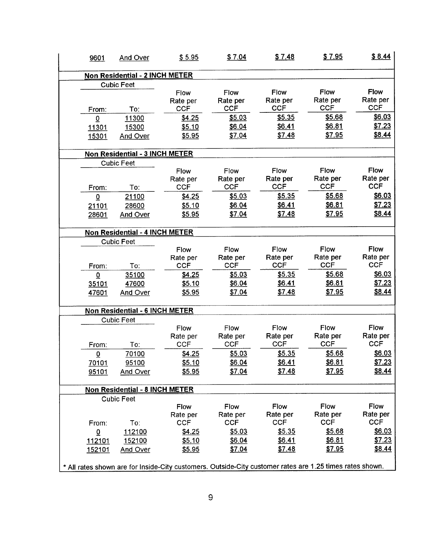| 9601                    | And Over                              | \$5.95                                                                                                   | \$7.04                         | \$7.48                         | \$7.95                         | \$8.44                                |
|-------------------------|---------------------------------------|----------------------------------------------------------------------------------------------------------|--------------------------------|--------------------------------|--------------------------------|---------------------------------------|
|                         | Non Residential - 2 INCH METER        |                                                                                                          |                                |                                |                                |                                       |
|                         | <b>Cubic Feet</b>                     |                                                                                                          |                                |                                |                                |                                       |
|                         | To:                                   | Flow<br>Rate per<br><b>CCF</b>                                                                           | Flow<br>Rate per<br><b>CCF</b> | Flow<br>Rate per<br><b>CCF</b> | Flow<br>Rate per<br><b>CCF</b> | Flow<br>Rate per<br><b>CCF</b>        |
| From:                   | 11300                                 | \$4.25                                                                                                   | \$5.03                         | \$5.35                         | \$5.68                         | \$6.03                                |
| $\overline{0}$<br>11301 | 15300                                 | \$5.10                                                                                                   | \$6.04                         | \$6.41                         | \$6.81                         | \$7.23                                |
| 15301                   | And Over                              | \$5.95                                                                                                   | \$7.04                         | \$7.48                         | \$7.95                         | \$8.44                                |
|                         | Non Residential - 3 INCH METER        |                                                                                                          |                                |                                |                                |                                       |
|                         | <b>Cubic Feet</b>                     |                                                                                                          |                                |                                |                                |                                       |
| From:                   | To:                                   | Flow<br>Rate per<br><b>CCF</b>                                                                           | Flow<br>Rate per<br><b>CCF</b> | Flow<br>Rate per<br><b>CCF</b> | Flow<br>Rate per<br><b>CCF</b> | Flow<br>Rate per<br><b>CCF</b>        |
| $\overline{0}$          | 21100                                 | \$4.25                                                                                                   | \$5.03                         | \$5.35                         | \$5.68                         | \$6.03                                |
| 21101                   | 28600                                 | \$5.10                                                                                                   | \$6.04                         | \$6.41                         | \$6.81                         | \$7.23                                |
| 28601                   | And Over                              | \$5.95                                                                                                   | \$7.04                         | \$7.48                         | \$7.95                         | \$8.44                                |
|                         | Non Residential - 4 INCH METER        |                                                                                                          |                                |                                |                                |                                       |
|                         | <b>Cubic Feet</b>                     |                                                                                                          |                                |                                |                                |                                       |
| From:                   | To:                                   | Flow<br>Rate per<br><b>CCF</b>                                                                           | Flow<br>Rate per<br><b>CCF</b> | Flow<br>Rate per<br><b>CCF</b> | Flow<br>Rate per<br><b>CCF</b> | <b>Flow</b><br>Rate per<br><b>CCF</b> |
| $\bf{0}$                | 35100                                 | \$4.25                                                                                                   | \$5.03                         | \$5.35                         | \$5.68                         | \$6.03                                |
| 35101                   | 47600                                 | \$5.10                                                                                                   | \$6.04                         | \$6.41                         | \$6.81                         | \$7.23                                |
| 47601                   | And Over                              | \$5.95                                                                                                   | \$7.04                         | \$7.48                         | \$7.95                         | \$8.44                                |
|                         | Non Residential - 6 INCH METER        |                                                                                                          |                                |                                |                                |                                       |
|                         | <b>Cubic Feet</b>                     |                                                                                                          |                                |                                |                                |                                       |
|                         |                                       | Flow                                                                                                     | Flow                           | Flow                           | Flow                           | Flow                                  |
| From:                   | To:                                   | Rate per<br><b>CCF</b>                                                                                   | Rate per<br><b>CCF</b>         | Rate per<br><b>CCF</b>         | Rate per<br><b>CCF</b>         | Rate per<br><b>CCF</b>                |
| $\mathbf 0$             | 70100                                 | \$4.25                                                                                                   | \$5.03                         | \$5.35                         | \$5.68                         | \$6.03                                |
| 70101                   | 95100                                 | \$5.10                                                                                                   | \$6.04                         | \$6.41                         | \$6.81                         | \$7.23                                |
| 95101                   | And Over                              | \$5.95                                                                                                   | \$7.04                         | \$7.48                         | \$7.95                         | \$8.44                                |
|                         | <b>Non Residential - 8 INCH METER</b> |                                                                                                          |                                |                                |                                |                                       |
|                         | <b>Cubic Feet</b>                     |                                                                                                          |                                |                                |                                |                                       |
|                         |                                       | Flow                                                                                                     | Flow                           | Flow                           | Flow                           | Flow                                  |
| From:                   | To:                                   | Rate per<br><b>CCF</b>                                                                                   | Rate per<br><b>CCF</b>         | Rate per<br><b>CCF</b>         | Rate per<br><b>CCF</b>         | Rate per<br><b>CCF</b>                |
| $\overline{0}$          | 112100                                | \$4.25                                                                                                   | \$5.03                         | \$5.35                         | \$5.68                         | \$6.03                                |
| <u> 112101</u>          | 152100                                | \$5.10                                                                                                   | \$6.04                         | \$6.41                         | \$6.81                         | \$7.23                                |
| 152101                  | <b>And Over</b>                       | \$5.95                                                                                                   | \$7.04                         | \$7.48                         | \$7.95                         | \$8.44                                |
|                         |                                       | * All rates shown are for Inside-City customers. Outside-City customer rates are 1.25 times rates shown. |                                |                                |                                |                                       |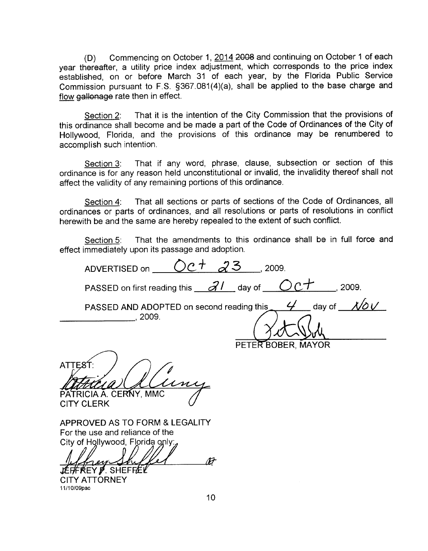(D) Commencing on October 1, 2014 2008 and continuing on October 1 of each year thereafter, a utility price index adjustment, which corresponds to the price index established, on or before March 31 of each year, by the Florida Public Service Commission pursuant to F.S.  $§367.081(4)(a)$ , shall be applied to the base charge and flow gallonage rate then in effect.

Section 2: That it is the intention of the City Commission that the provisions of this ordinance shall become and be made <sup>a</sup> part of the Code of Ordinances of the City of Hollywood, Florida, and the provisions of this ordinance may be renumbered to accomplish such intention

Section 3: That if any word, phrase, clause, subsection or section of this ordinance is for any reason held unconstitutional or invalid, the invalidity thereof shall not affect the validity of any remaining portions of this ordinance

Section 4: That all sections or parts of sections of the Code of Ordinances, all ordinances or parts of ordinances and all resolutions or parts of resolutions in conflict herewith be and the same are hereby repealed to the extent of such conflict

Section 5: That the amendments to this ordinance shall be in full force and effect immediately upon its passage and adoption

ADVERTISED on  $OC^+$   $23$  2009. PASSED on first reading this  $\frac{\partial l}{\partial \theta}$  day of  $\frac{\partial c}{\partial \theta}$ , 2009.  $4$  day of  $1/\delta V$ PASSED AND ADOPTED on second reading this 2009 PETER BOBER, MAYOR

**ATTEST** PATRICIA A. CERNY, MMC

**CITY CLERK** 

APPROVED AS TO FORM & LEGALITY For the use and reliance of the City of Hollywood, Florida only

 $\overline{M}$ erv **EFFREY P. SHEFFEL** 

**CITY ATTORNEY** 11/10/09pac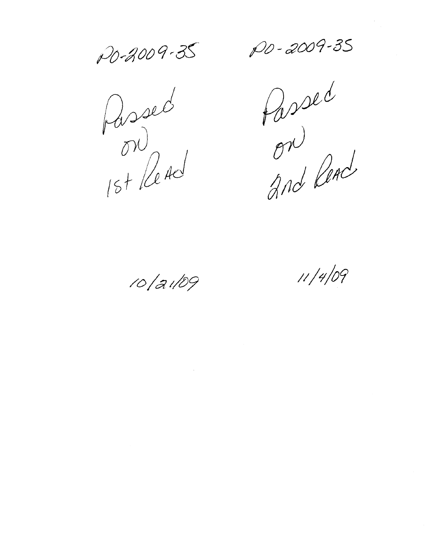PO-2009-35 PD-2009-35

 $\sqrt{24d}$  $5 + 124$ 

p fassed g $r$ And Read

10/21/09 11/4/09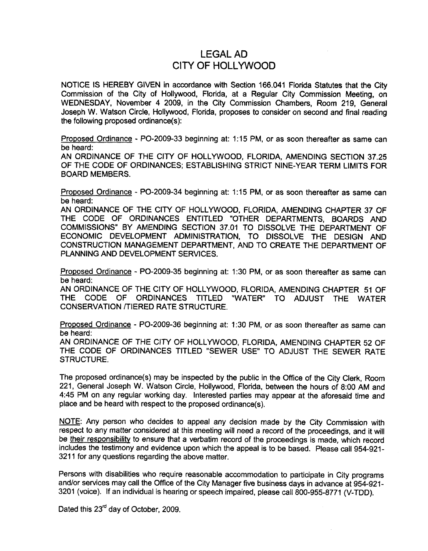# lEGAL AD CITY OF HOllYWOOD

NOTICE IS HEREBY GIVEN in accordance with Section <sup>166</sup> <sup>041</sup> Florida Statutes that the City Commission of the City of Hollywood, Florida, at a Regular City Commission Meeting, on WEDNESDAY, November 4 2009, in the City Commission Chambers, Room 219, General Joseph W. Watson Circle, Hollywood, Florida, proposes to consider on second and final reading the following proposed ordinance $(s)$ :

Proposed Ordinance - PO-2009-33 beginning at: 1:15 PM, or as soon thereafter as same can be heard

AN ORDINANCE OF THE CITY OF HOLLYWOOD, FLORIDA, AMENDING SECTION 37.25 OF THE CODE OF ORDINANCES; ESTABLISHING STRICT NINE-YEAR TERM LIMITS FOR BOARD MEMBERS

Proposed Ordinance - PO-2009-34 beginning at: 1:15 PM, or as soon thereafter as same can be heard

AN ORDINANCE OF THE CITY OF HOLLYWOOD, FLORIDA, AMENDING CHAPTER 37 OF THE CODE OF ORDINANCES ENTITLED "OTHER DEPARTMENTS, BOARDS AND COMMISSIONS" BY AMENDING SECTION 37.01 TO DISSOLVE THE DEPARTMENT OF ECONOMIC DEVELOPMENT ADMINISTRATION TO DISSOLVE THE DESIGN AND CONSTRUCTION MANAGEMENT DEPARTMENT AND TO CREATE THE DEPARTMENT OF PLANNING AND DEVELOPMENT SERVICES

Proposed Ordinance - PO-2009-35 beginning at: 1:30 PM, or as soon thereafter as same can be heard

AN ORDINANCE OF THE CITY OF HOLLYWOOD, FLORIDA, AMENDING CHAPTER 51 OF THE CODE OF ORDINANCES TITLED "WATER" TO ADJUST THE WATER CONSERVATION TIERED RATE STRUCTURE

Proposed Ordinance - PO-2009-36 beginning at: 1:30 PM, or as soon thereafter as same can<br>be heard:

be heard:<br>AN ORDINANCE OF THE CITY OF HOLLYWOOD, FLORIDA, AMENDING CHAPTER 52 OF<br>TUE CODE OF CRRUINISES TITLER "CEULER HOT" TO A LUIDE THE THEFTER 52 OF THE CODE OF ORDINANCES TITLED "SEWER USE" TO ADJUST THE SEWER RATE STRUCTURE.

The proposed ordinance(s) may be inspected by the public in the Office of the City Clerk, Room 221. General Joseph W. Watson Circle, Hollywood, Florida, between the hours of 8:00 AM and 4:45 PM on any regular working day. Interested parties may appear at the aforesaid time and place and be heard with respect to the proposed ordinance(s).

NOTE: Any person who decides to appeal any decision made by the City Commission with respect to any matter considered at this meeting will need a record of the proceedings, and it will be their responsibility to ensure that a verbatim record of the proceedings is made, which record includes the testimony and evidence upon which the appeal is to be based. Please call 954-921-3211 for any questions regarding the above matter.

Persons with disabilities who require reasonable accommodation to participate in City programs and/or services may call the Office of the City Manager five business days in advance at 954-921-3201 (voice). If an individual is hearing or speech impaired, please call 800-955-8771 (V-TDD).

Dated this 23<sup>rd</sup> day of October, 2009.